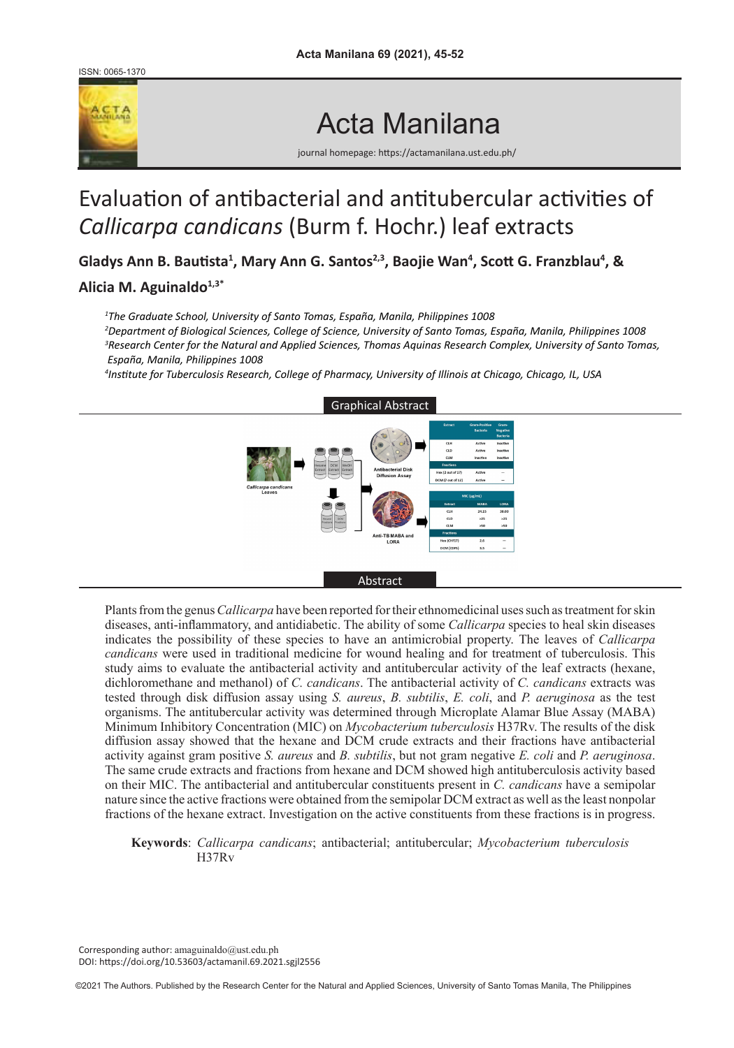ISSN: 0065-1370



# Acta Manilana

journal homepage: https://actamanilana.ust.edu.ph/

# Evaluation of antibacterial and antitubercular activities of *Callicarpa candicans* (Burm f. Hochr.) leaf extracts

**Gladys Ann B. Bautista<sup>1</sup> , Mary Ann G. Santos2,3, Baojie Wan<sup>4</sup> , Scott G. Franzblau<sup>4</sup> , &** 

# **Alicia M. Aguinaldo1,3\***

*1 The Graduate School, University of Santo Tomas, España, Manila, Philippines 1008* 

*2 Department of Biological Sciences, College of Science, University of Santo Tomas, España, Manila, Philippines 1008 3 Research Center for the Natural and Applied Sciences, Thomas Aquinas Research Complex, University of Santo Tomas, España, Manila, Philippines 1008*

*4 Institute for Tuberculosis Research, College of Pharmacy, University of Illinois at Chicago, Chicago, IL, USA*



Plants from the genus *Callicarpa* have been reported for their ethnomedicinal uses such as treatment for skin diseases, anti-inflammatory, and antidiabetic. The ability of some *Callicarpa* species to heal skin diseases indicates the possibility of these species to have an antimicrobial property. The leaves of *Callicarpa candicans* were used in traditional medicine for wound healing and for treatment of tuberculosis. This study aims to evaluate the antibacterial activity and antitubercular activity of the leaf extracts (hexane, dichloromethane and methanol) of *C. candicans*. The antibacterial activity of *C. candicans* extracts was tested through disk diffusion assay using *S. aureus*, *B. subtilis*, *E. coli*, and *P. aeruginosa* as the test organisms. The antitubercular activity was determined through Microplate Alamar Blue Assay (MABA) Minimum Inhibitory Concentration (MIC) on *Mycobacterium tuberculosis* H37Rv. The results of the disk diffusion assay showed that the hexane and DCM crude extracts and their fractions have antibacterial activity against gram positive *S. aureus* and *B. subtilis*, but not gram negative *E. coli* and *P. aeruginosa*. The same crude extracts and fractions from hexane and DCM showed high antituberculosis activity based on their MIC. The antibacterial and antitubercular constituents present in *C. candicans* have a semipolar nature since the active fractions were obtained from the semipolar DCM extract as well as the least nonpolar fractions of the hexane extract. Investigation on the active constituents from these fractions is in progress.

**Keywords**: *Callicarpa candicans*; antibacterial; antitubercular; *Mycobacterium tuberculosis* H37Rv

Corresponding author: amaguinaldo@ust.edu.ph DOI: https://doi.org/10.53603/actamanil.69.2021.sgjl2556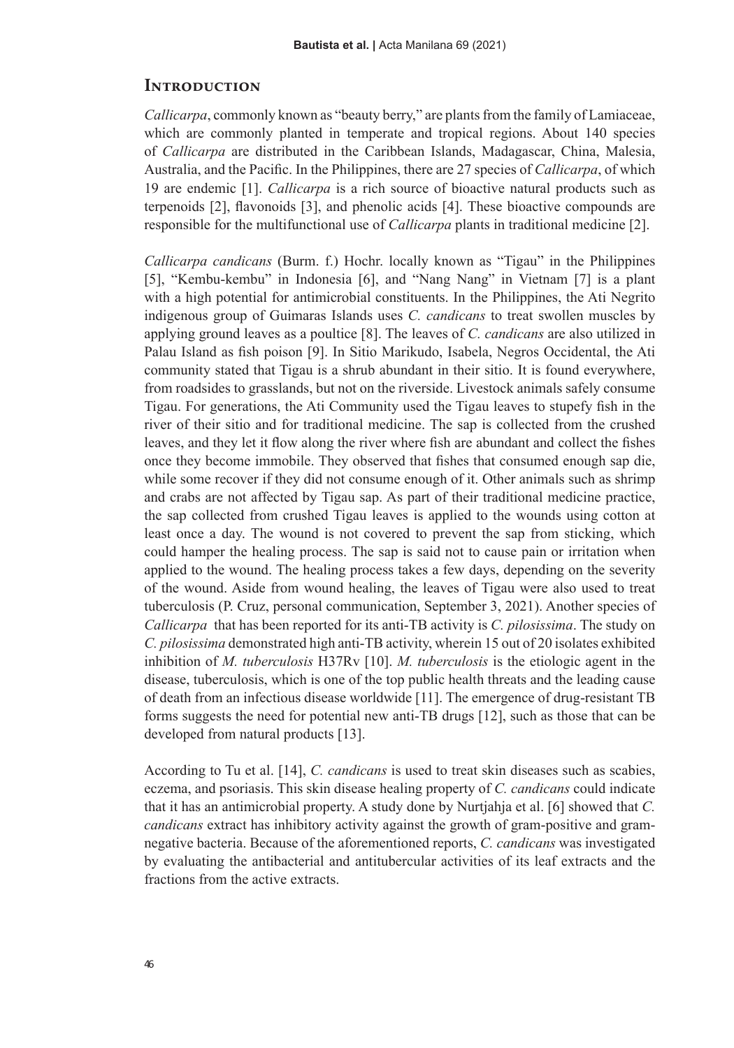#### **Introduction**

*Callicarpa*, commonly known as "beauty berry," are plants from the family of Lamiaceae, which are commonly planted in temperate and tropical regions. About 140 species of *Callicarpa* are distributed in the Caribbean Islands, Madagascar, China, Malesia, Australia, and the Pacific. In the Philippines, there are 27 species of *Callicarpa*, of which 19 are endemic [1]. *Callicarpa* is a rich source of bioactive natural products such as terpenoids [2], flavonoids [3], and phenolic acids [4]. These bioactive compounds are responsible for the multifunctional use of *Callicarpa* plants in traditional medicine [2].

*Callicarpa candicans* (Burm. f.) Hochr. locally known as "Tigau" in the Philippines [5], "Kembu-kembu" in Indonesia [6], and "Nang Nang" in Vietnam [7] is a plant with a high potential for antimicrobial constituents. In the Philippines, the Ati Negrito indigenous group of Guimaras Islands uses *C. candicans* to treat swollen muscles by applying ground leaves as a poultice [8]. The leaves of *C. candicans* are also utilized in Palau Island as fish poison [9]. In Sitio Marikudo, Isabela, Negros Occidental, the Ati community stated that Tigau is a shrub abundant in their sitio. It is found everywhere, from roadsides to grasslands, but not on the riverside. Livestock animals safely consume Tigau. For generations, the Ati Community used the Tigau leaves to stupefy fish in the river of their sitio and for traditional medicine. The sap is collected from the crushed leaves, and they let it flow along the river where fish are abundant and collect the fishes once they become immobile. They observed that fishes that consumed enough sap die, while some recover if they did not consume enough of it. Other animals such as shrimp and crabs are not affected by Tigau sap. As part of their traditional medicine practice, the sap collected from crushed Tigau leaves is applied to the wounds using cotton at least once a day. The wound is not covered to prevent the sap from sticking, which could hamper the healing process. The sap is said not to cause pain or irritation when applied to the wound. The healing process takes a few days, depending on the severity of the wound. Aside from wound healing, the leaves of Tigau were also used to treat tuberculosis (P. Cruz, personal communication, September 3, 2021). Another species of *Callicarpa* that has been reported for its anti-TB activity is *C. pilosissima*. The study on *C. pilosissima* demonstrated high anti-TB activity, wherein 15 out of 20 isolates exhibited inhibition of *M. tuberculosis* H37Rv [10]. *M. tuberculosis* is the etiologic agent in the disease, tuberculosis, which is one of the top public health threats and the leading cause of death from an infectious disease worldwide [11]. The emergence of drug-resistant TB forms suggests the need for potential new anti-TB drugs [12], such as those that can be developed from natural products [13].

According to Tu et al. [14], *C. candicans* is used to treat skin diseases such as scabies, eczema, and psoriasis. This skin disease healing property of *C. candicans* could indicate that it has an antimicrobial property. A study done by Nurtjahja et al. [6] showed that *C. candicans* extract has inhibitory activity against the growth of gram-positive and gramnegative bacteria. Because of the aforementioned reports, *C. candicans* was investigated by evaluating the antibacterial and antitubercular activities of its leaf extracts and the fractions from the active extracts.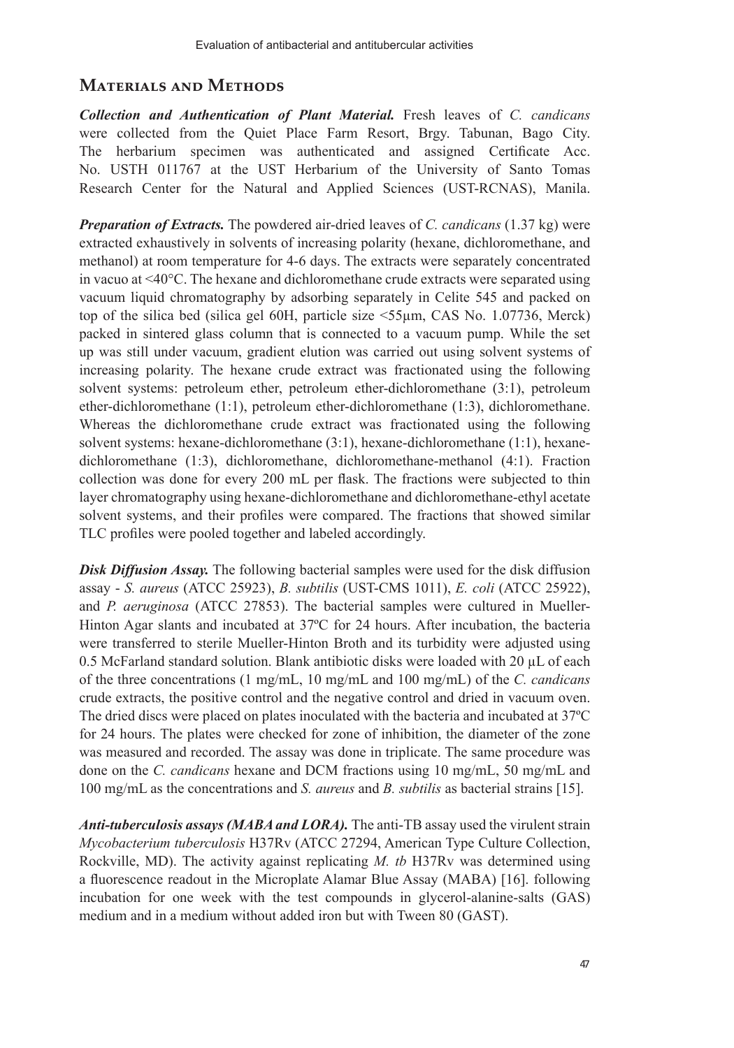# **Materials and Methods**

*Collection and Authentication of Plant Material.* Fresh leaves of *C. candicans* were collected from the Quiet Place Farm Resort, Brgy. Tabunan, Bago City. The herbarium specimen was authenticated and assigned Certificate Acc. No. USTH 011767 at the UST Herbarium of the University of Santo Tomas Research Center for the Natural and Applied Sciences (UST-RCNAS), Manila.

*Preparation of Extracts.* The powdered air-dried leaves of *C. candicans* (1.37 kg) were extracted exhaustively in solvents of increasing polarity (hexane, dichloromethane, and methanol) at room temperature for 4-6 days. The extracts were separately concentrated in vacuo at <40°C. The hexane and dichloromethane crude extracts were separated using vacuum liquid chromatography by adsorbing separately in Celite 545 and packed on top of the silica bed (silica gel 60H, particle size <55µm, CAS No. 1.07736, Merck) packed in sintered glass column that is connected to a vacuum pump. While the set up was still under vacuum, gradient elution was carried out using solvent systems of increasing polarity. The hexane crude extract was fractionated using the following solvent systems: petroleum ether, petroleum ether-dichloromethane (3:1), petroleum ether-dichloromethane (1:1), petroleum ether-dichloromethane (1:3), dichloromethane. Whereas the dichloromethane crude extract was fractionated using the following solvent systems: hexane-dichloromethane (3:1), hexane-dichloromethane (1:1), hexanedichloromethane (1:3), dichloromethane, dichloromethane-methanol (4:1). Fraction collection was done for every 200 mL per flask. The fractions were subjected to thin layer chromatography using hexane-dichloromethane and dichloromethane-ethyl acetate solvent systems, and their profiles were compared. The fractions that showed similar TLC profiles were pooled together and labeled accordingly.

**Disk Diffusion Assay.** The following bacterial samples were used for the disk diffusion assay - *S. aureus* (ATCC 25923), *B. subtilis* (UST-CMS 1011), *E. coli* (ATCC 25922), and *P. aeruginosa* (ATCC 27853). The bacterial samples were cultured in Mueller-Hinton Agar slants and incubated at 37ºC for 24 hours. After incubation, the bacteria were transferred to sterile Mueller-Hinton Broth and its turbidity were adjusted using 0.5 McFarland standard solution. Blank antibiotic disks were loaded with 20  $\mu$ L of each of the three concentrations (1 mg/mL, 10 mg/mL and 100 mg/mL) of the *C. candicans* crude extracts, the positive control and the negative control and dried in vacuum oven. The dried discs were placed on plates inoculated with the bacteria and incubated at 37ºC for 24 hours. The plates were checked for zone of inhibition, the diameter of the zone was measured and recorded. The assay was done in triplicate. The same procedure was done on the *C. candicans* hexane and DCM fractions using 10 mg/mL, 50 mg/mL and 100 mg/mL as the concentrations and *S. aureus* and *B. subtilis* as bacterial strains [15].

*Anti-tuberculosis assays (MABA and LORA).* The anti-TB assay used the virulent strain *Mycobacterium tuberculosis* H37Rv (ATCC 27294, American Type Culture Collection, Rockville, MD). The activity against replicating *M. tb* H37Rv was determined using a fluorescence readout in the Microplate Alamar Blue Assay (MABA) [16]. following incubation for one week with the test compounds in glycerol-alanine-salts (GAS) medium and in a medium without added iron but with Tween 80 (GAST).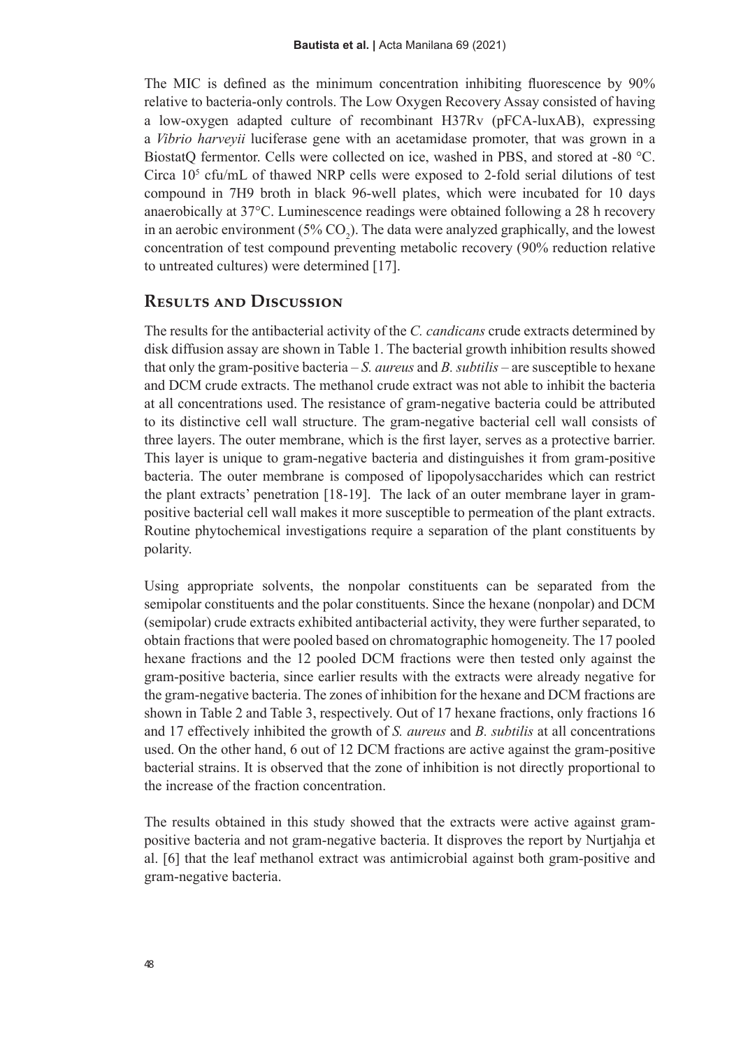The MIC is defined as the minimum concentration inhibiting fluorescence by 90% relative to bacteria-only controls. The Low Oxygen Recovery Assay consisted of having a low-oxygen adapted culture of recombinant H37Rv (pFCA-luxAB), expressing a *Vibrio harveyii* luciferase gene with an acetamidase promoter, that was grown in a BiostatQ fermentor. Cells were collected on ice, washed in PBS, and stored at -80 °C. Circa  $10<sup>5</sup>$  cfu/mL of thawed NRP cells were exposed to 2-fold serial dilutions of test compound in 7H9 broth in black 96-well plates, which were incubated for 10 days anaerobically at 37°C. Luminescence readings were obtained following a 28 h recovery in an aerobic environment ( $5\%$  CO<sub>2</sub>). The data were analyzed graphically, and the lowest concentration of test compound preventing metabolic recovery (90% reduction relative to untreated cultures) were determined [17].

# **Results and Discussion**

The results for the antibacterial activity of the *C. candicans* crude extracts determined by disk diffusion assay are shown in Table 1. The bacterial growth inhibition results showed that only the gram-positive bacteria – *S. aureus* and *B. subtilis* – are susceptible to hexane and DCM crude extracts. The methanol crude extract was not able to inhibit the bacteria at all concentrations used. The resistance of gram-negative bacteria could be attributed to its distinctive cell wall structure. The gram-negative bacterial cell wall consists of three layers. The outer membrane, which is the first layer, serves as a protective barrier. This layer is unique to gram-negative bacteria and distinguishes it from gram-positive bacteria. The outer membrane is composed of lipopolysaccharides which can restrict the plant extracts' penetration [18-19]. The lack of an outer membrane layer in grampositive bacterial cell wall makes it more susceptible to permeation of the plant extracts. Routine phytochemical investigations require a separation of the plant constituents by polarity.

Using appropriate solvents, the nonpolar constituents can be separated from the semipolar constituents and the polar constituents. Since the hexane (nonpolar) and DCM (semipolar) crude extracts exhibited antibacterial activity, they were further separated, to obtain fractions that were pooled based on chromatographic homogeneity. The 17 pooled hexane fractions and the 12 pooled DCM fractions were then tested only against the gram-positive bacteria, since earlier results with the extracts were already negative for the gram-negative bacteria. The zones of inhibition for the hexane and DCM fractions are shown in Table 2 and Table 3, respectively. Out of 17 hexane fractions, only fractions 16 and 17 effectively inhibited the growth of *S. aureus* and *B. subtilis* at all concentrations used. On the other hand, 6 out of 12 DCM fractions are active against the gram-positive bacterial strains. It is observed that the zone of inhibition is not directly proportional to the increase of the fraction concentration.

The results obtained in this study showed that the extracts were active against grampositive bacteria and not gram-negative bacteria. It disproves the report by Nurtjahja et al. [6] that the leaf methanol extract was antimicrobial against both gram-positive and gram-negative bacteria.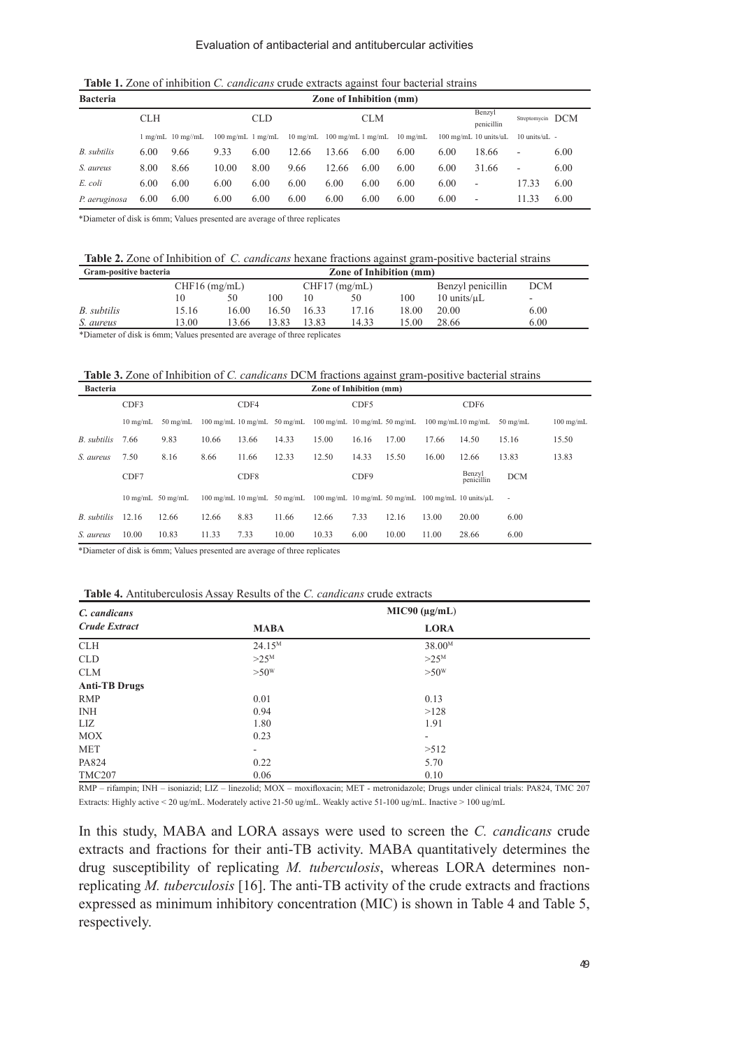**Table 1.** Zone of inhibition *C. candicans* crude extracts against four bacterial strains

| <b>Bacteria</b> | Zone of Inhibition (mm) |                   |                             |      |                    |            |      |                                                |                      |                          |                  |      |
|-----------------|-------------------------|-------------------|-----------------------------|------|--------------------|------------|------|------------------------------------------------|----------------------|--------------------------|------------------|------|
| <b>CLH</b>      |                         |                   | <b>CLD</b>                  |      |                    | <b>CLM</b> |      |                                                | Benzvl<br>penicillin |                          | Streptomycin DCM |      |
|                 |                         | l mg/mL 10 mg//mL | $100 \text{ mg/mL}$ 1 mg/mL |      | $10 \text{ mg/mL}$ |            |      | $100 \text{ mg/mL}$ 1 mg/mL $10 \text{ mg/mL}$ |                      | 100 mg/mL 10 units/uL    | $10$ units/uL -  |      |
| B. subtilis     | 6.00                    | 9.66              | 9.33                        | 6.00 | 12.66              | 13.66      | 6.00 | 6.00                                           | 6.00                 | 18.66                    | -                | 6.00 |
| S. aureus       | 8.00                    | 8.66              | 10.00                       | 8.00 | 9.66               | 12.66      | 6.00 | 6.00                                           | 6.00                 | 31.66                    | ٠                | 6.00 |
| E. coli         | 6.00                    | 6.00              | 6.00                        | 6.00 | 6.00               | 6.00       | 6.00 | 6.00                                           | 6.00                 | $\overline{\phantom{a}}$ | 17.33            | 6.00 |
| P. aeruginosa   | 6.00                    | 6.00              | 6.00                        | 6.00 | 6.00               | 6.00       | 6.00 | 6.00                                           | 6.00                 | $\overline{\phantom{a}}$ | 11.33            | 6.00 |

\*Diameter of disk is 6mm; Values presented are average of three replicates

| <b>Table 2.</b> Zone of Inhibition of <i>C. candicans</i> hexane fractions against gram-positive bacterial strains |  |
|--------------------------------------------------------------------------------------------------------------------|--|
|--------------------------------------------------------------------------------------------------------------------|--|

| Gram-positive bacteria                                                             |                 |       | Zone of Inhibition (mm) |                 |       |       |                          |            |  |
|------------------------------------------------------------------------------------|-----------------|-------|-------------------------|-----------------|-------|-------|--------------------------|------------|--|
|                                                                                    | $CHF16$ (mg/mL) |       |                         | $CHF17$ (mg/mL) |       |       | Benzyl penicillin        | <b>DCM</b> |  |
|                                                                                    |                 | 50    | 100                     | 10              | 50    | 100   | $10 \text{ units/}\mu L$ | -          |  |
| B. subtilis                                                                        | 15.16           | 16.00 | 16.50                   | 16.33           | 17.16 | 18.00 | 20.00                    | 6.00       |  |
| S. aureus                                                                          | 13.00           | 13.66 | 13.83                   | 13.83           | 14.33 | 15.00 | 28.66                    | 6.00       |  |
| WINDOWS ARE ARRESTS FOR A MORE CONTRACTED AND ACCOUNT A REPORT OF A MORE CONTRACT. |                 |       |                         |                 |       |       |                          |            |  |

heter of disk is 6mm; Values presented are average of three replication

**Table 3.** Zone of Inhibition of *C. candicans* DCM fractions against gram-positive bacterial strains

| <b>Bacteria</b> |                       |            |       |       |                                                           | Zone of Inhibition (mm)                                 |       |       |                                      |                      |                          |             |
|-----------------|-----------------------|------------|-------|-------|-----------------------------------------------------------|---------------------------------------------------------|-------|-------|--------------------------------------|----------------------|--------------------------|-------------|
|                 | CDF3                  |            |       | CDF4  |                                                           |                                                         | CDF5  |       |                                      | CDF <sub>6</sub>     |                          |             |
|                 | $10 \text{ me/mL}$    | $50$ mg/mL |       |       | $100 \text{ mg/mL}$ 10 mg/mL 50 mg/mL                     | $100 \text{ mg/mL}$ 10 mg/mL 50 mg/mL                   |       |       | $100 \text{ me/mL} 10 \text{ me/mL}$ |                      | $50$ mg/mL               | $100$ mg/mL |
| B. subtilis     | 7.66                  | 9.83       | 10.66 | 13.66 | 14.33                                                     | 15.00                                                   | 16.16 | 17.00 | 17.66                                | 14.50                | 15.16                    | 15.50       |
| S. aureus       | 7.50                  | 8.16       | 8.66  | 11.66 | 12.33                                                     | 12.50                                                   | 14.33 | 15.50 | 16.00                                | 12.66                | 13.83                    | 13.83       |
|                 | CDF7                  |            |       | CDF8  |                                                           |                                                         | CDF9  |       |                                      | Benzyl<br>penicillin | <b>DCM</b>               |             |
|                 | $10$ mg/mL $50$ mg/mL |            |       |       | $100 \text{ me/mL}$ $10 \text{ me/mL}$ $50 \text{ me/mL}$ | 100 mg/mL 10 mg/mL 50 mg/mL 100 mg/mL 10 units/ $\mu$ L |       |       |                                      |                      | $\overline{\phantom{a}}$ |             |
| B. subtilis     | 12.16                 | 12.66      | 12.66 | 8.83  | 11.66                                                     | 12.66                                                   | 7.33  | 12.16 | 13.00                                | 20.00                | 6.00                     |             |
| S. aureus       | 10.00                 | 10.83      | 11.33 | 7.33  | 10.00                                                     | 10.33                                                   | 6.00  | 10.00 | 11.00                                | 28.66                | 6.00                     |             |

\*Diameter of disk is 6mm; Values presented are average of three replicates

**Table 4.** Antituberculosis Assay Results of the *C. candicans* crude extracts

| C. candicans         | $MIC90 (\mu g/mL)$ |                    |  |  |  |
|----------------------|--------------------|--------------------|--|--|--|
| <b>Crude Extract</b> | <b>MABA</b>        | <b>LORA</b>        |  |  |  |
| <b>CLH</b>           | $24.15^{M}$        | 38.00 <sup>M</sup> |  |  |  |
| <b>CLD</b>           | $>25^M$            | $>25^M$            |  |  |  |
| <b>CLM</b>           | >50 <sup>W</sup>   | >50 <sup>W</sup>   |  |  |  |
| <b>Anti-TB Drugs</b> |                    |                    |  |  |  |
| <b>RMP</b>           | 0.01               | 0.13               |  |  |  |
| <b>INH</b>           | 0.94               | >128               |  |  |  |
| LIZ                  | 1.80               | 1.91               |  |  |  |
| <b>MOX</b>           | 0.23               | ۰                  |  |  |  |
| <b>MET</b>           | ۰                  | >512               |  |  |  |
| PA824                | 0.22               | 5.70               |  |  |  |
| <b>TMC207</b>        | 0.06               | 0.10               |  |  |  |

RMP – rifampin; INH – isoniazid; LIZ – linezolid; MOX – moxifloxacin; MET - metronidazole; Drugs under clinical trials: PA824, TMC 207 Extracts: Highly active < 20 ug/mL. Moderately active 21-50 ug/mL. Weakly active 51-100 ug/mL. Inactive > 100 ug/mL

In this study, MABA and LORA assays were used to screen the *C. candicans* crude extracts and fractions for their anti-TB activity. MABA quantitatively determines the drug susceptibility of replicating *M. tuberculosis*, whereas LORA determines nonreplicating *M. tuberculosis* [16]. The anti-TB activity of the crude extracts and fractions expressed as minimum inhibitory concentration (MIC) is shown in Table 4 and Table 5, respectively.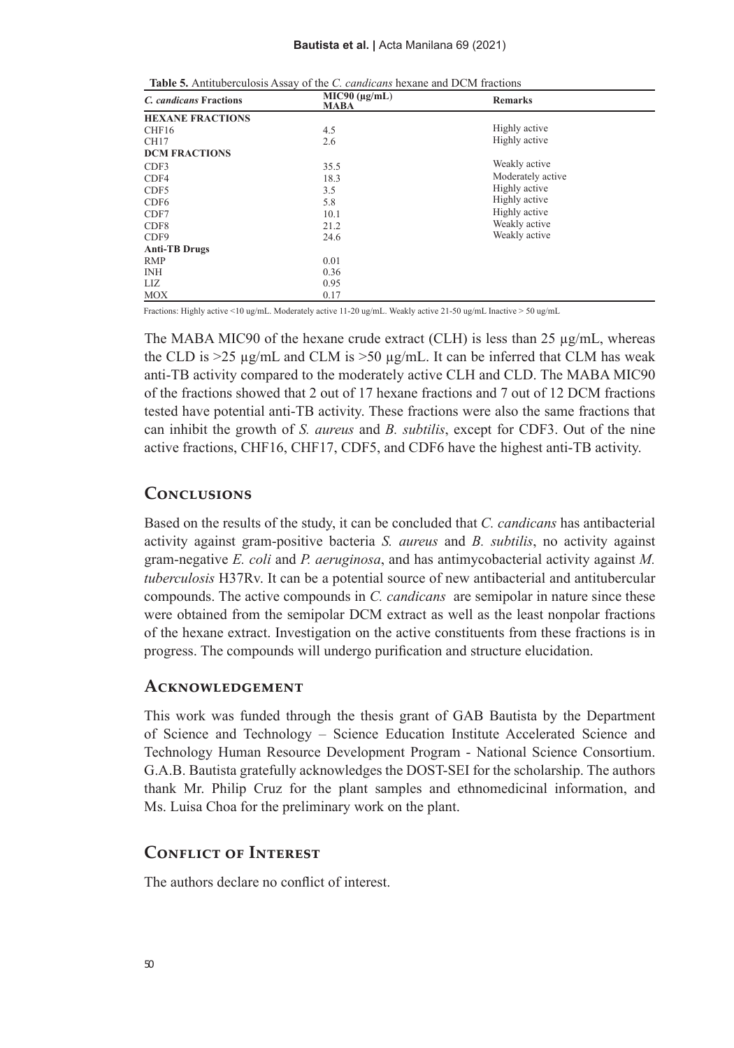| $\ldots$                |                                   |                   |
|-------------------------|-----------------------------------|-------------------|
| C. candicans Fractions  | $MIC90 (\mu g/mL)$<br><b>MABA</b> | <b>Remarks</b>    |
| <b>HEXANE FRACTIONS</b> |                                   |                   |
| CHF16                   | 4.5                               | Highly active     |
| <b>CH17</b>             | 2.6                               | Highly active     |
| <b>DCM FRACTIONS</b>    |                                   |                   |
| CDF3                    | 35.5                              | Weakly active     |
| CDF4                    | 18.3                              | Moderately active |
| CDF5                    | 3.5                               | Highly active     |
| CDF <sub>6</sub>        | 5.8                               | Highly active     |
| CDF7                    | 10.1                              | Highly active     |
| CDF <sub>8</sub>        | 21.2                              | Weakly active     |
| CDF9                    | 24.6                              | Weakly active     |
| <b>Anti-TB Drugs</b>    |                                   |                   |
| <b>RMP</b>              | 0.01                              |                   |
| <b>INH</b>              | 0.36                              |                   |
| LIZ                     | 0.95                              |                   |
| <b>MOX</b>              | 0.17                              |                   |

| <b>Table 5.</b> Antituberculosis Assay of the <i>C. candicans</i> hexane and DCM fractions |  |  |
|--------------------------------------------------------------------------------------------|--|--|
|--------------------------------------------------------------------------------------------|--|--|

Fractions: Highly active <10 ug/mL. Moderately active 11-20 ug/mL. Weakly active 21-50 ug/mL Inactive > 50 ug/mL

The MABA MIC90 of the hexane crude extract (CLH) is less than 25  $\mu$ g/mL, whereas the CLD is  $>25 \mu g/mL$  and CLM is  $>50 \mu g/mL$ . It can be inferred that CLM has weak anti-TB activity compared to the moderately active CLH and CLD. The MABA MIC90 of the fractions showed that 2 out of 17 hexane fractions and 7 out of 12 DCM fractions tested have potential anti-TB activity. These fractions were also the same fractions that can inhibit the growth of *S. aureus* and *B. subtilis*, except for CDF3. Out of the nine active fractions, CHF16, CHF17, CDF5, and CDF6 have the highest anti-TB activity.

#### **Conclusions**

Based on the results of the study, it can be concluded that *C. candicans* has antibacterial activity against gram-positive bacteria *S. aureus* and *B. subtilis*, no activity against gram-negative *E. coli* and *P. aeruginosa*, and has antimycobacterial activity against *M. tuberculosis* H37Rv. It can be a potential source of new antibacterial and antitubercular compounds. The active compounds in *C. candicans* are semipolar in nature since these were obtained from the semipolar DCM extract as well as the least nonpolar fractions of the hexane extract. Investigation on the active constituents from these fractions is in progress. The compounds will undergo purification and structure elucidation.

#### **Acknowledgement**

This work was funded through the thesis grant of GAB Bautista by the Department of Science and Technology – Science Education Institute Accelerated Science and Technology Human Resource Development Program - National Science Consortium. G.A.B. Bautista gratefully acknowledges the DOST-SEI for the scholarship. The authors thank Mr. Philip Cruz for the plant samples and ethnomedicinal information, and Ms. Luisa Choa for the preliminary work on the plant.

#### **Conflict of Interest**

The authors declare no conflict of interest.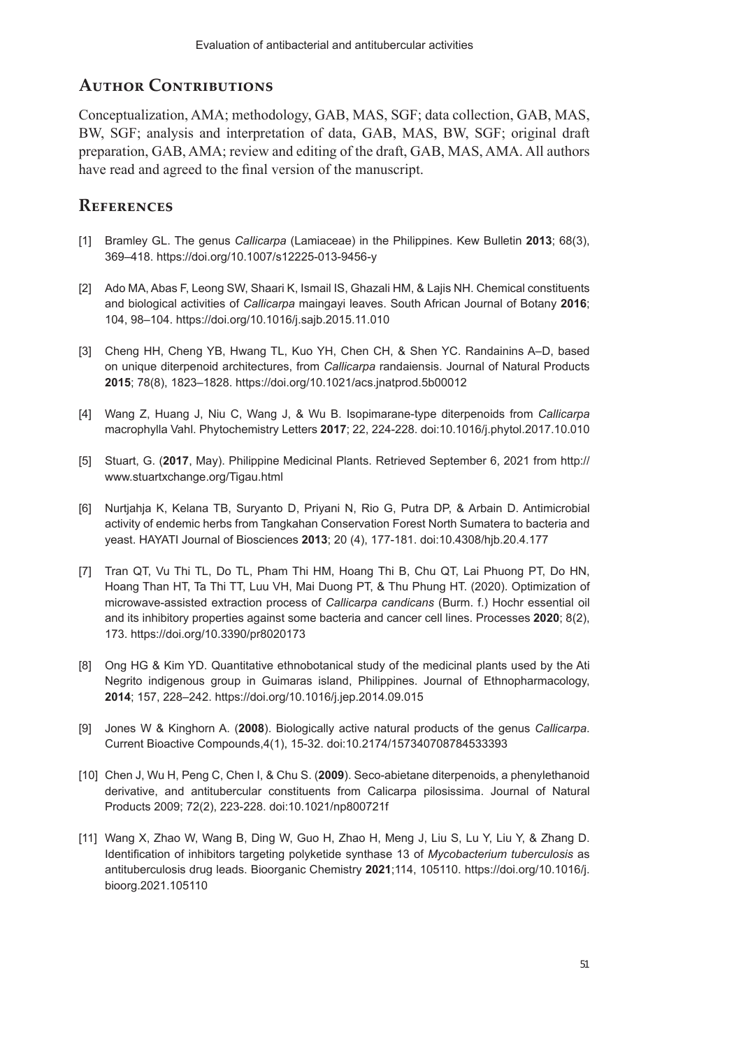# **Author Contributions**

Conceptualization, AMA; methodology, GAB, MAS, SGF; data collection, GAB, MAS, BW, SGF; analysis and interpretation of data, GAB, MAS, BW, SGF; original draft preparation, GAB, AMA; review and editing of the draft, GAB, MAS, AMA. All authors have read and agreed to the final version of the manuscript.

# **References**

- [1] Bramley GL. The genus *Callicarpa* (Lamiaceae) in the Philippines. Kew Bulletin **2013**; 68(3), 369–418. https://doi.org/10.1007/s12225-013-9456-y
- [2] Ado MA, Abas F, Leong SW, Shaari K, Ismail IS, Ghazali HM, & Lajis NH. Chemical constituents and biological activities of *Callicarpa* maingayi leaves. South African Journal of Botany **2016**; 104, 98–104. https://doi.org/10.1016/j.sajb.2015.11.010
- [3] Cheng HH, Cheng YB, Hwang TL, Kuo YH, Chen CH, & Shen YC. Randainins A–D, based on unique diterpenoid architectures, from *Callicarpa* randaiensis. Journal of Natural Products **2015**; 78(8), 1823–1828. https://doi.org/10.1021/acs.jnatprod.5b00012
- [4] Wang Z, Huang J, Niu C, Wang J, & Wu B. Isopimarane-type diterpenoids from *Callicarpa* macrophylla Vahl. Phytochemistry Letters **2017**; 22, 224-228. doi:10.1016/j.phytol.2017.10.010
- [5] Stuart, G. (**2017**, May). Philippine Medicinal Plants. Retrieved September 6, 2021 from http:// www.stuartxchange.org/Tigau.html
- [6] Nurtjahja K, Kelana TB, Suryanto D, Priyani N, Rio G, Putra DP, & Arbain D. Antimicrobial activity of endemic herbs from Tangkahan Conservation Forest North Sumatera to bacteria and yeast. HAYATI Journal of Biosciences **2013**; 20 (4), 177-181. doi:10.4308/hjb.20.4.177
- [7] Tran QT, Vu Thi TL, Do TL, Pham Thi HM, Hoang Thi B, Chu QT, Lai Phuong PT, Do HN, Hoang Than HT, Ta Thi TT, Luu VH, Mai Duong PT, & Thu Phung HT. (2020). Optimization of microwave-assisted extraction process of *Callicarpa candicans* (Burm. f.) Hochr essential oil and its inhibitory properties against some bacteria and cancer cell lines. Processes **2020**; 8(2), 173. https://doi.org/10.3390/pr8020173
- [8] Ong HG & Kim YD. Quantitative ethnobotanical study of the medicinal plants used by the Ati Negrito indigenous group in Guimaras island, Philippines. Journal of Ethnopharmacology, **2014**; 157, 228–242. https://doi.org/10.1016/j.jep.2014.09.015
- [9] Jones W & Kinghorn A. (**2008**). Biologically active natural products of the genus *Callicarpa*. Current Bioactive Compounds,4(1), 15-32. doi:10.2174/157340708784533393
- [10] Chen J, Wu H, Peng C, Chen I, & Chu S. (**2009**). Seco-abietane diterpenoids, a phenylethanoid derivative, and antitubercular constituents from Calicarpa pilosissima. Journal of Natural Products 2009; 72(2), 223-228. doi:10.1021/np800721f
- [11] Wang X, Zhao W, Wang B, Ding W, Guo H, Zhao H, Meng J, Liu S, Lu Y, Liu Y, & Zhang D. Identification of inhibitors targeting polyketide synthase 13 of *Mycobacterium tuberculosis* as antituberculosis drug leads. Bioorganic Chemistry **2021**;114, 105110. https://doi.org/10.1016/j. bioorg.2021.105110